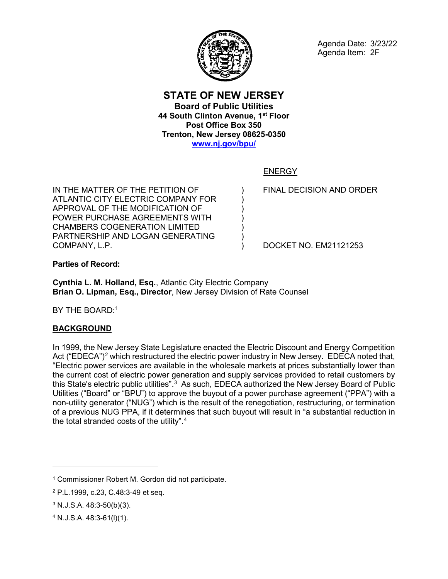

### **STATE OF NEW JERSEY Board of Public Utilities 44 South Clinton Avenue, 1st Floor Post Office Box 350 Trenton, New Jersey 08625-0350 [www.nj.gov/bpu/](http://www.nj.gov/bpu/)**

) ) ) ) ) ) )

## ENERGY

IN THE MATTER OF THE PETITION OF ATLANTIC CITY ELECTRIC COMPANY FOR APPROVAL OF THE MODIFICATION OF POWER PURCHASE AGREEMENTS WITH CHAMBERS COGENERATION LIMITED PARTNERSHIP AND LOGAN GENERATING COMPANY, L.P.

FINAL DECISION AND ORDER

DOCKET NO. EM21121253

**Parties of Record:**

**Cynthia L. M. Holland, Esq.**, Atlantic City Electric Company **Brian O. Lipman, Esq., Director**, New Jersey Division of Rate Counsel

BY THE BOARD:<sup>1</sup>

# **BACKGROUND**

In 1999, the New Jersey State Legislature enacted the Electric Discount and Energy Competition Act ("EDECA")<sup>[2](#page-0-1)</sup> which restructured the electric power industry in New Jersey. EDECA noted that, "Electric power services are available in the wholesale markets at prices substantially lower than the current cost of electric power generation and supply services provided to retail customers by this State's electric public utilities". $3$  As such, EDECA authorized the New Jersey Board of Public Utilities ("Board" or "BPU") to approve the buyout of a power purchase agreement ("PPA") with a non-utility generator ("NUG") which is the result of the renegotiation, restructuring, or termination of a previous NUG PPA, if it determines that such buyout will result in "a substantial reduction in the total stranded costs of the utility". $^{\rm 4}$  $^{\rm 4}$  $^{\rm 4}$ 

 $\overline{a}$ 

<span id="page-0-0"></span><sup>1</sup> Commissioner Robert M. Gordon did not participate.

<span id="page-0-1"></span><sup>2</sup> P.L.1999, c.23, C.48:3-49 et seq.

<span id="page-0-2"></span><sup>3</sup> N.J.S.A. 48:3-50(b)(3).

<span id="page-0-3"></span><sup>4</sup> N.J.S.A. 48:3-61(l)(1).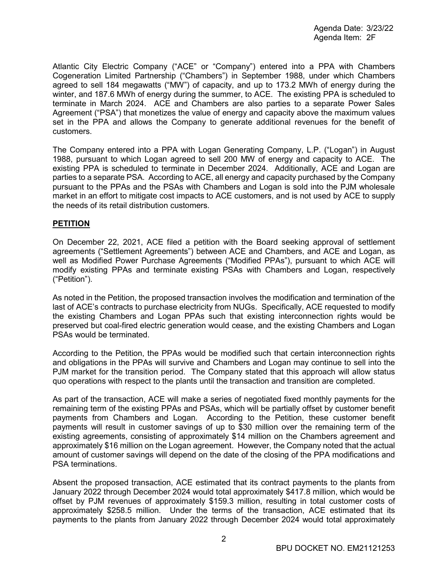Atlantic City Electric Company ("ACE" or "Company") entered into a PPA with Chambers Cogeneration Limited Partnership ("Chambers") in September 1988, under which Chambers agreed to sell 184 megawatts ("MW") of capacity, and up to 173.2 MWh of energy during the winter, and 187.6 MWh of energy during the summer, to ACE. The existing PPA is scheduled to terminate in March 2024. ACE and Chambers are also parties to a separate Power Sales Agreement ("PSA") that monetizes the value of energy and capacity above the maximum values set in the PPA and allows the Company to generate additional revenues for the benefit of customers.

The Company entered into a PPA with Logan Generating Company, L.P. ("Logan") in August 1988, pursuant to which Logan agreed to sell 200 MW of energy and capacity to ACE. The existing PPA is scheduled to terminate in December 2024. Additionally, ACE and Logan are parties to a separate PSA. According to ACE, all energy and capacity purchased by the Company pursuant to the PPAs and the PSAs with Chambers and Logan is sold into the PJM wholesale market in an effort to mitigate cost impacts to ACE customers, and is not used by ACE to supply the needs of its retail distribution customers.

#### **PETITION**

On December 22, 2021, ACE filed a petition with the Board seeking approval of settlement agreements ("Settlement Agreements") between ACE and Chambers, and ACE and Logan, as well as Modified Power Purchase Agreements ("Modified PPAs"), pursuant to which ACE will modify existing PPAs and terminate existing PSAs with Chambers and Logan, respectively ("Petition").

As noted in the Petition, the proposed transaction involves the modification and termination of the last of ACE's contracts to purchase electricity from NUGs. Specifically, ACE requested to modify the existing Chambers and Logan PPAs such that existing interconnection rights would be preserved but coal-fired electric generation would cease, and the existing Chambers and Logan PSAs would be terminated.

According to the Petition, the PPAs would be modified such that certain interconnection rights and obligations in the PPAs will survive and Chambers and Logan may continue to sell into the PJM market for the transition period. The Company stated that this approach will allow status quo operations with respect to the plants until the transaction and transition are completed.

As part of the transaction, ACE will make a series of negotiated fixed monthly payments for the remaining term of the existing PPAs and PSAs, which will be partially offset by customer benefit payments from Chambers and Logan. According to the Petition, these customer benefit payments will result in customer savings of up to \$30 million over the remaining term of the existing agreements, consisting of approximately \$14 million on the Chambers agreement and approximately \$16 million on the Logan agreement. However, the Company noted that the actual amount of customer savings will depend on the date of the closing of the PPA modifications and PSA terminations.

Absent the proposed transaction, ACE estimated that its contract payments to the plants from January 2022 through December 2024 would total approximately \$417.8 million, which would be offset by PJM revenues of approximately \$159.3 million, resulting in total customer costs of approximately \$258.5 million. Under the terms of the transaction, ACE estimated that its payments to the plants from January 2022 through December 2024 would total approximately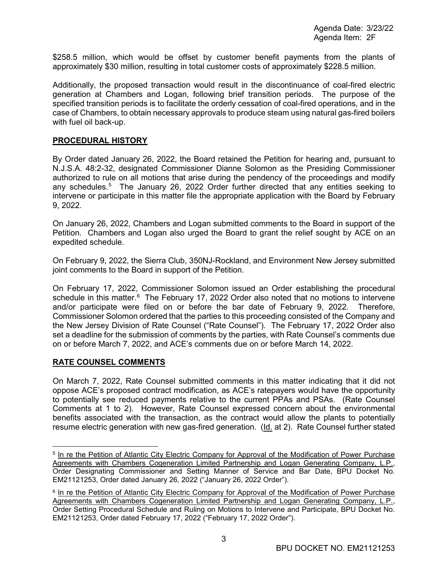\$258.5 million, which would be offset by customer benefit payments from the plants of approximately \$30 million, resulting in total customer costs of approximately \$228.5 million.

Additionally, the proposed transaction would result in the discontinuance of coal-fired electric generation at Chambers and Logan, following brief transition periods. The purpose of the specified transition periods is to facilitate the orderly cessation of coal-fired operations, and in the case of Chambers, to obtain necessary approvals to produce steam using natural gas-fired boilers with fuel oil back-up.

#### **PROCEDURAL HISTORY**

By Order dated January 26, 2022, the Board retained the Petition for hearing and, pursuant to N.J.S.A. 48:2-32, designated Commissioner Dianne Solomon as the Presiding Commissioner authorized to rule on all motions that arise during the pendency of the proceedings and modify any schedules.<sup>[5](#page-2-0)</sup> The January 26, 2022 Order further directed that any entities seeking to intervene or participate in this matter file the appropriate application with the Board by February 9, 2022.

On January 26, 2022, Chambers and Logan submitted comments to the Board in support of the Petition. Chambers and Logan also urged the Board to grant the relief sought by ACE on an expedited schedule.

On February 9, 2022, the Sierra Club, 350NJ-Rockland, and Environment New Jersey submitted joint comments to the Board in support of the Petition.

On February 17, 2022, Commissioner Solomon issued an Order establishing the procedural schedule in this matter.<sup>[6](#page-2-1)</sup> The February 17, 2022 Order also noted that no motions to intervene and/or participate were filed on or before the bar date of February 9, 2022. Therefore, Commissioner Solomon ordered that the parties to this proceeding consisted of the Company and the New Jersey Division of Rate Counsel ("Rate Counsel"). The February 17, 2022 Order also set a deadline for the submission of comments by the parties, with Rate Counsel's comments due on or before March 7, 2022, and ACE's comments due on or before March 14, 2022.

#### **RATE COUNSEL COMMENTS**

On March 7, 2022, Rate Counsel submitted comments in this matter indicating that it did not oppose ACE's proposed contract modification, as ACE's ratepayers would have the opportunity to potentially see reduced payments relative to the current PPAs and PSAs. (Rate Counsel Comments at 1 to 2). However, Rate Counsel expressed concern about the environmental benefits associated with the transaction, as the contract would allow the plants to potentially resume electric generation with new gas-fired generation. (Id. at 2). Rate Counsel further stated

<span id="page-2-0"></span><sup>&</sup>lt;sup>5</sup> In re the Petition of Atlantic City Electric Company for Approval of the Modification of Power Purchase Agreements with Chambers Cogeneration Limited Partnership and Logan Generating Company, L.P., Order Designating Commissioner and Setting Manner of Service and Bar Date, BPU Docket No. EM21121253, Order dated January 26, 2022 ("January 26, 2022 Order").

<span id="page-2-1"></span><sup>&</sup>lt;sup>6</sup> In re the Petition of Atlantic City Electric Company for Approval of the Modification of Power Purchase Agreements with Chambers Cogeneration Limited Partnership and Logan Generating Company, L.P., Order Setting Procedural Schedule and Ruling on Motions to Intervene and Participate, BPU Docket No. EM21121253, Order dated February 17, 2022 ("February 17, 2022 Order").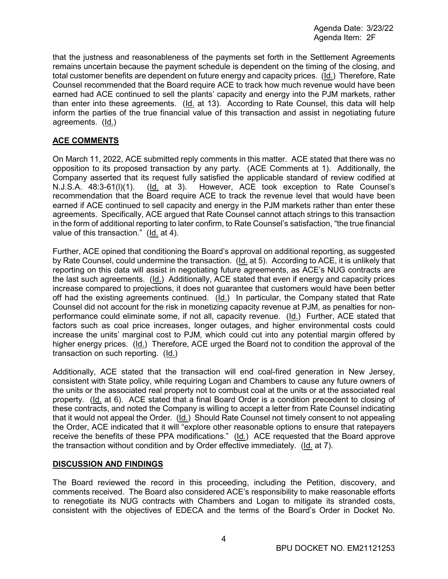that the justness and reasonableness of the payments set forth in the Settlement Agreements remains uncertain because the payment schedule is dependent on the timing of the closing, and total customer benefits are dependent on future energy and capacity prices. (Id.) Therefore, Rate Counsel recommended that the Board require ACE to track how much revenue would have been earned had ACE continued to sell the plants' capacity and energy into the PJM markets, rather than enter into these agreements. (Id. at 13). According to Rate Counsel, this data will help inform the parties of the true financial value of this transaction and assist in negotiating future agreements. (Id.)

### **ACE COMMENTS**

On March 11, 2022, ACE submitted reply comments in this matter. ACE stated that there was no opposition to its proposed transaction by any party. (ACE Comments at 1). Additionally, the Company asserted that its request fully satisfied the applicable standard of review codified at N.J.S.A. 48:3-61(l)(1). (Id. at 3). However, ACE took exception to Rate Counsel's recommendation that the Board require ACE to track the revenue level that would have been earned if ACE continued to sell capacity and energy in the PJM markets rather than enter these agreements. Specifically, ACE argued that Rate Counsel cannot attach strings to this transaction in the form of additional reporting to later confirm, to Rate Counsel's satisfaction, "the true financial value of this transaction." (Id. at 4).

Further, ACE opined that conditioning the Board's approval on additional reporting, as suggested by Rate Counsel, could undermine the transaction. (Id. at 5). According to ACE, it is unlikely that reporting on this data will assist in negotiating future agreements, as ACE's NUG contracts are the last such agreements. (Id.) Additionally, ACE stated that even if energy and capacity prices increase compared to projections, it does not guarantee that customers would have been better off had the existing agreements continued. (Id.) In particular, the Company stated that Rate Counsel did not account for the risk in monetizing capacity revenue at PJM, as penalties for nonperformance could eliminate some, if not all, capacity revenue. (Id.) Further, ACE stated that factors such as coal price increases, longer outages, and higher environmental costs could increase the units' marginal cost to PJM, which could cut into any potential margin offered by higher energy prices. (Id.) Therefore, ACE urged the Board not to condition the approval of the transaction on such reporting. (Id.)

Additionally, ACE stated that the transaction will end coal-fired generation in New Jersey, consistent with State policy, while requiring Logan and Chambers to cause any future owners of the units or the associated real property not to combust coal at the units or at the associated real property. (Id. at 6). ACE stated that a final Board Order is a condition precedent to closing of these contracts, and noted the Company is willing to accept a letter from Rate Counsel indicating that it would not appeal the Order. (Id.) Should Rate Counsel not timely consent to not appealing the Order, ACE indicated that it will "explore other reasonable options to ensure that ratepayers receive the benefits of these PPA modifications." (Id.) ACE requested that the Board approve the transaction without condition and by Order effective immediately. (Id. at 7).

#### **DISCUSSION AND FINDINGS**

The Board reviewed the record in this proceeding, including the Petition, discovery, and comments received. The Board also considered ACE's responsibility to make reasonable efforts to renegotiate its NUG contracts with Chambers and Logan to mitigate its stranded costs, consistent with the objectives of EDECA and the terms of the Board's Order in Docket No.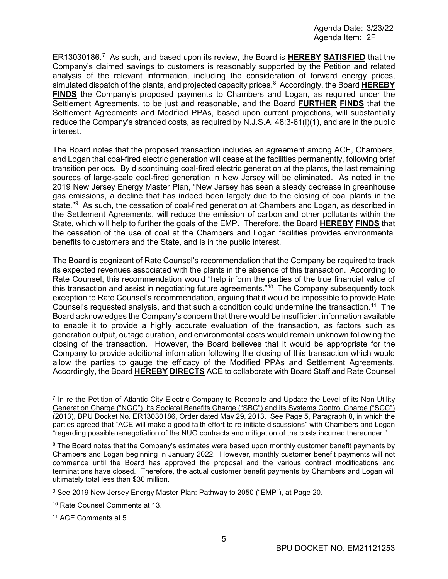ER13030186. [7](#page-4-0) As such, and based upon its review, the Board is **HEREBY SATISFIED** that the Company's claimed savings to customers is reasonably supported by the Petition and related analysis of the relevant information, including the consideration of forward energy prices, simulated dispatch of the plants, and projected capacity prices. [8](#page-4-1) Accordingly, the Board **HEREBY FINDS** the Company's proposed payments to Chambers and Logan, as required under the Settlement Agreements, to be just and reasonable, and the Board **FURTHER FINDS** that the Settlement Agreements and Modified PPAs, based upon current projections, will substantially reduce the Company's stranded costs, as required by N.J.S.A. 48:3-61(l)(1), and are in the public interest.

The Board notes that the proposed transaction includes an agreement among ACE, Chambers, and Logan that coal-fired electric generation will cease at the facilities permanently, following brief transition periods. By discontinuing coal-fired electric generation at the plants, the last remaining sources of large-scale coal-fired generation in New Jersey will be eliminated. As noted in the 2019 New Jersey Energy Master Plan, "New Jersey has seen a steady decrease in greenhouse gas emissions, a decline that has indeed been largely due to the closing of coal plants in the state."[9](#page-4-2) As such, the cessation of coal-fired generation at Chambers and Logan, as described in the Settlement Agreements, will reduce the emission of carbon and other pollutants within the State, which will help to further the goals of the EMP. Therefore, the Board **HEREBY FINDS** that the cessation of the use of coal at the Chambers and Logan facilities provides environmental benefits to customers and the State, and is in the public interest.

The Board is cognizant of Rate Counsel's recommendation that the Company be required to track its expected revenues associated with the plants in the absence of this transaction. According to Rate Counsel, this recommendation would "help inform the parties of the true financial value of this transaction and assist in negotiating future agreements."[10](#page-4-3) The Company subsequently took exception to Rate Counsel's recommendation, arguing that it would be impossible to provide Rate Counsel's requested analysis, and that such a condition could undermine the transaction.<sup>11</sup> The Board acknowledges the Company's concern that there would be insufficient information available to enable it to provide a highly accurate evaluation of the transaction, as factors such as generation output, outage duration, and environmental costs would remain unknown following the closing of the transaction. However, the Board believes that it would be appropriate for the Company to provide additional information following the closing of this transaction which would allow the parties to gauge the efficacy of the Modified PPAs and Settlement Agreements. Accordingly, the Board **HEREBY DIRECTS** ACE to collaborate with Board Staff and Rate Counsel

<span id="page-4-0"></span> <sup>7</sup> In re the Petition of Atlantic City Electric Company to Reconcile and Update the Level of its Non-Utility Generation Charge ("NGC"), its Societal Benefits Charge ("SBC") and its Systems Control Charge ("SCC") (2013), BPU Docket No. ER13030186, Order dated May 29, 2013. See Page 5, Paragraph 8, in which the parties agreed that "ACE will make a good faith effort to re-initiate discussions" with Chambers and Logan "regarding possible renegotiation of the NUG contracts and mitigation of the costs incurred thereunder."

<span id="page-4-1"></span><sup>&</sup>lt;sup>8</sup> The Board notes that the Company's estimates were based upon monthly customer benefit payments by Chambers and Logan beginning in January 2022. However, monthly customer benefit payments will not commence until the Board has approved the proposal and the various contract modifications and terminations have closed. Therefore, the actual customer benefit payments by Chambers and Logan will ultimately total less than \$30 million.

<span id="page-4-2"></span><sup>9</sup> See 2019 New Jersey Energy Master Plan: Pathway to 2050 ("EMP"), at Page 20.

<span id="page-4-3"></span><sup>10</sup> Rate Counsel Comments at 13.

<span id="page-4-4"></span><sup>11</sup> ACE Comments at 5.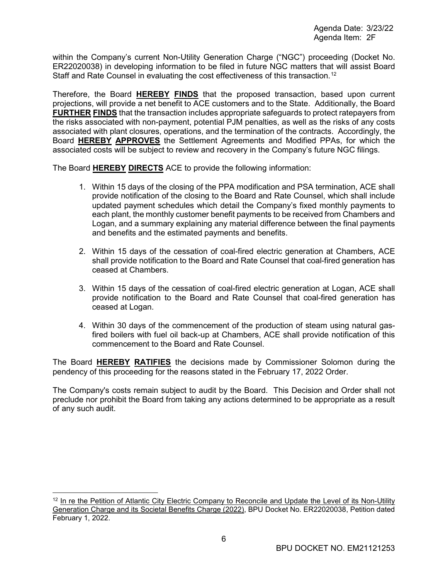within the Company's current Non-Utility Generation Charge ("NGC") proceeding (Docket No. ER22020038) in developing information to be filed in future NGC matters that will assist Board Staff and Rate Counsel in evaluating the cost effectiveness of this transaction. [12](#page-5-0)

Therefore, the Board **HEREBY FINDS** that the proposed transaction, based upon current projections, will provide a net benefit to ACE customers and to the State. Additionally, the Board **FURTHER FINDS** that the transaction includes appropriate safeguards to protect ratepayers from the risks associated with non-payment, potential PJM penalties, as well as the risks of any costs associated with plant closures, operations, and the termination of the contracts. Accordingly, the Board **HEREBY APPROVES** the Settlement Agreements and Modified PPAs, for which the associated costs will be subject to review and recovery in the Company's future NGC filings.

The Board **HEREBY DIRECTS** ACE to provide the following information:

- 1. Within 15 days of the closing of the PPA modification and PSA termination, ACE shall provide notification of the closing to the Board and Rate Counsel, which shall include updated payment schedules which detail the Company's fixed monthly payments to each plant, the monthly customer benefit payments to be received from Chambers and Logan, and a summary explaining any material difference between the final payments and benefits and the estimated payments and benefits.
- 2. Within 15 days of the cessation of coal-fired electric generation at Chambers, ACE shall provide notification to the Board and Rate Counsel that coal-fired generation has ceased at Chambers.
- 3. Within 15 days of the cessation of coal-fired electric generation at Logan, ACE shall provide notification to the Board and Rate Counsel that coal-fired generation has ceased at Logan.
- 4. Within 30 days of the commencement of the production of steam using natural gasfired boilers with fuel oil back-up at Chambers, ACE shall provide notification of this commencement to the Board and Rate Counsel.

The Board **HEREBY RATIFIES** the decisions made by Commissioner Solomon during the pendency of this proceeding for the reasons stated in the February 17, 2022 Order.

The Company's costs remain subject to audit by the Board. This Decision and Order shall not preclude nor prohibit the Board from taking any actions determined to be appropriate as a result of any such audit.

<span id="page-5-0"></span><sup>&</sup>lt;sup>12</sup> In re the Petition of Atlantic City Electric Company to Reconcile and Update the Level of its Non-Utility Generation Charge and its Societal Benefits Charge (2022), BPU Docket No. ER22020038, Petition dated February 1, 2022.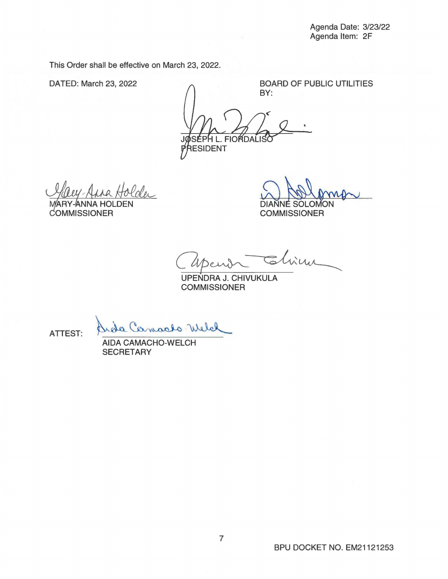This Order shall be effective on March 23, 2022.

DATED: March 23, 2022 <br>  $\bigcap$ BY:

**FIORDALISC** RESIDENT

OLDEN COMMISSIONER COMMISSIONER

SOLOMON

Capendr  $=$  china

UPENDRA J. CHIVUKULA **COMMISSIONER** 

ATTEST:

Arde Camarlo Welch

**SECRETARY**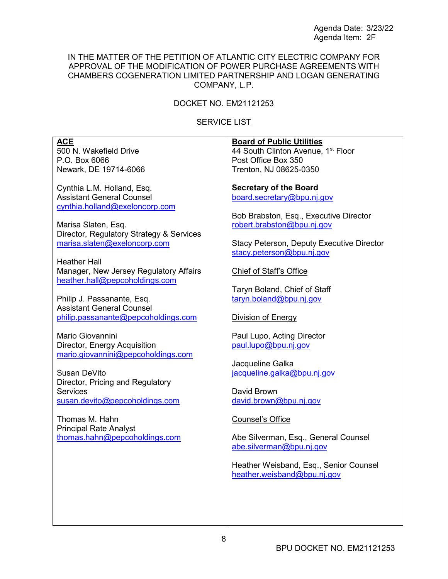#### IN THE MATTER OF THE PETITION OF ATLANTIC CITY ELECTRIC COMPANY FOR APPROVAL OF THE MODIFICATION OF POWER PURCHASE AGREEMENTS WITH CHAMBERS COGENERATION LIMITED PARTNERSHIP AND LOGAN GENERATING COMPANY, L.P.

## DOCKET NO. EM21121253

## **SERVICE LIST**

| <b>ACE</b><br>500 N. Wakefield Drive<br>P.O. Box 6066<br>Newark, DE 19714-6066                                                                                                                                                                                                                                                                                                                                                                                                                                                                                                                                                                                                                         | <b>Board of Public Utilities</b><br>44 South Clinton Avenue, 1 <sup>st</sup> Floor<br>Post Office Box 350<br>Trenton, NJ 08625-0350                                                                                                                                                                                                                                                                                                                                                                                                                                                                                                                        |
|--------------------------------------------------------------------------------------------------------------------------------------------------------------------------------------------------------------------------------------------------------------------------------------------------------------------------------------------------------------------------------------------------------------------------------------------------------------------------------------------------------------------------------------------------------------------------------------------------------------------------------------------------------------------------------------------------------|------------------------------------------------------------------------------------------------------------------------------------------------------------------------------------------------------------------------------------------------------------------------------------------------------------------------------------------------------------------------------------------------------------------------------------------------------------------------------------------------------------------------------------------------------------------------------------------------------------------------------------------------------------|
| Cynthia L.M. Holland, Esq.<br><b>Assistant General Counsel</b><br>cynthia.holland@exeloncorp.com<br>Marisa Slaten, Esq.<br>Director, Regulatory Strategy & Services<br>marisa.slaten@exeloncorp.com<br><b>Heather Hall</b><br>Manager, New Jersey Regulatory Affairs<br>heather.hall@pepcoholdings.com<br>Philip J. Passanante, Esq.<br><b>Assistant General Counsel</b><br>philip.passanante@pepcoholdings.com<br>Mario Giovannini<br>Director, Energy Acquisition<br>mario.giovannini@pepcoholdings.com<br>Susan DeVito<br>Director, Pricing and Regulatory<br><b>Services</b><br>susan.devito@pepcoholdings.com<br>Thomas M. Hahn<br><b>Principal Rate Analyst</b><br>thomas.hahn@pepcoholdings.com | <b>Secretary of the Board</b><br>board.secretary@bpu.nj.gov<br>Bob Brabston, Esq., Executive Director<br>robert.brabston@bpu.nj.gov<br>Stacy Peterson, Deputy Executive Director<br>stacy.peterson@bpu.nj.gov<br><b>Chief of Staff's Office</b><br>Taryn Boland, Chief of Staff<br>taryn.boland@bpu.nj.gov<br>Division of Energy<br>Paul Lupo, Acting Director<br>paul.lupo@bpu.nj.gov<br>Jacqueline Galka<br>jacqueline.galka@bpu.nj.gov<br>David Brown<br>david.brown@bpu.nj.gov<br><b>Counsel's Office</b><br>Abe Silverman, Esq., General Counsel<br>abe.silverman@bpu.nj.gov<br>Heather Weisband, Esq., Senior Counsel<br>heather.weisband@bpu.nj.gov |
|                                                                                                                                                                                                                                                                                                                                                                                                                                                                                                                                                                                                                                                                                                        |                                                                                                                                                                                                                                                                                                                                                                                                                                                                                                                                                                                                                                                            |